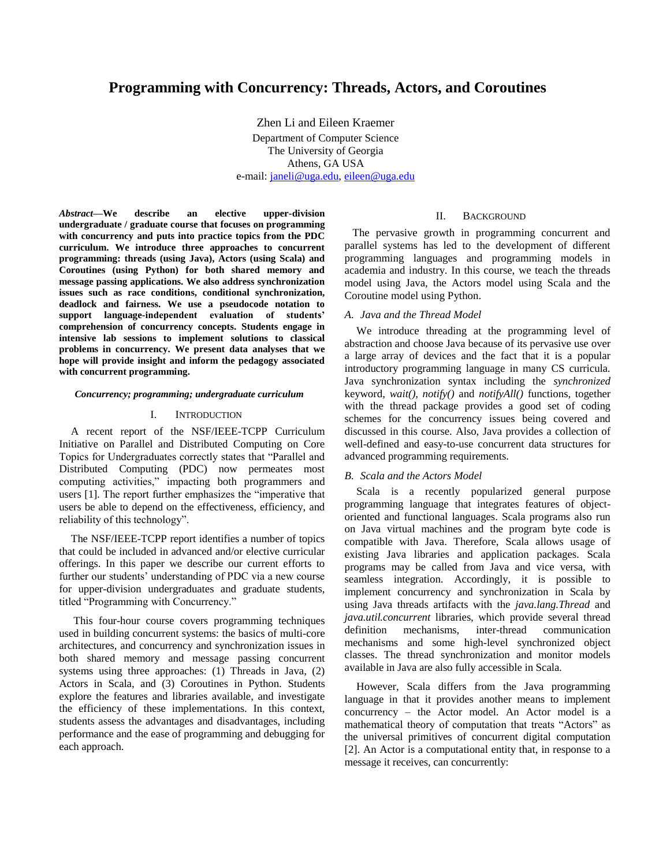# **Programming with Concurrency: Threads, Actors, and Coroutines**

Zhen Li and Eileen Kraemer Department of Computer Science The University of Georgia Athens, GA USA e-mail: [janeli@uga.edu,](mailto:janeli@uga.edu) [eileen@uga.edu](mailto:eileen@uga.edu)

*Abstract***—We describe an elective upper-division undergraduate / graduate course that focuses on programming with concurrency and puts into practice topics from the PDC curriculum. We introduce three approaches to concurrent programming: threads (using Java), Actors (using Scala) and Coroutines (using Python) for both shared memory and message passing applications. We also address synchronization issues such as race conditions, conditional synchronization, deadlock and fairness. We use a pseudocode notation to support language-independent evaluation of students' comprehension of concurrency concepts. Students engage in intensive lab sessions to implement solutions to classical problems in concurrency. We present data analyses that we hope will provide insight and inform the pedagogy associated with concurrent programming.**

#### *Concurrency; programming; undergraduate curriculum*

### I. INTRODUCTION

A recent report of the NSF/IEEE-TCPP Curriculum Initiative on Parallel and Distributed Computing on Core Topics for Undergraduates correctly states that "Parallel and Distributed Computing (PDC) now permeates most computing activities," impacting both programmers and users [1]. The report further emphasizes the "imperative that users be able to depend on the effectiveness, efficiency, and reliability of this technology".

The NSF/IEEE-TCPP report identifies a number of topics that could be included in advanced and/or elective curricular offerings. In this paper we describe our current efforts to further our students' understanding of PDC via a new course for upper-division undergraduates and graduate students, titled "Programming with Concurrency."

This four-hour course covers programming techniques used in building concurrent systems: the basics of multi-core architectures, and concurrency and synchronization issues in both shared memory and message passing concurrent systems using three approaches: (1) Threads in Java, (2) Actors in Scala, and (3) Coroutines in Python. Students explore the features and libraries available, and investigate the efficiency of these implementations. In this context, students assess the advantages and disadvantages, including performance and the ease of programming and debugging for each approach.

# II. BACKGROUND

The pervasive growth in programming concurrent and parallel systems has led to the development of different programming languages and programming models in academia and industry. In this course, we teach the threads model using Java, the Actors model using Scala and the Coroutine model using Python.

### *A. Java and the Thread Model*

We introduce threading at the programming level of abstraction and choose Java because of its pervasive use over a large array of devices and the fact that it is a popular introductory programming language in many CS curricula. Java synchronization syntax including the *synchronized*  keyword, *wait()*, *notify()* and *notifyAll()* functions, together with the thread package provides a good set of coding schemes for the concurrency issues being covered and discussed in this course. Also, Java provides a collection of well-defined and easy-to-use concurrent data structures for advanced programming requirements.

### *B. Scala and the Actors Model*

Scala is a recently popularized general purpose programming language that integrates features of objectoriented and functional languages. Scala programs also run on Java virtual machines and the program byte code is compatible with Java. Therefore, Scala allows usage of existing Java libraries and application packages. Scala programs may be called from Java and vice versa, with seamless integration. Accordingly, it is possible to implement concurrency and synchronization in Scala by using Java threads artifacts with the *java.lang.Thread* and *java.util.concurrent* libraries, which provide several thread definition mechanisms, inter-thread communication mechanisms and some high-level synchronized object classes. The thread synchronization and monitor models available in Java are also fully accessible in Scala.

However, Scala differs from the Java programming language in that it provides another means to implement concurrency – the Actor model. An Actor model is a mathematical theory of computation that treats "Actors" as the universal primitives of concurrent digital computation [2]. An Actor is a computational entity that, in response to a message it receives, can concurrently: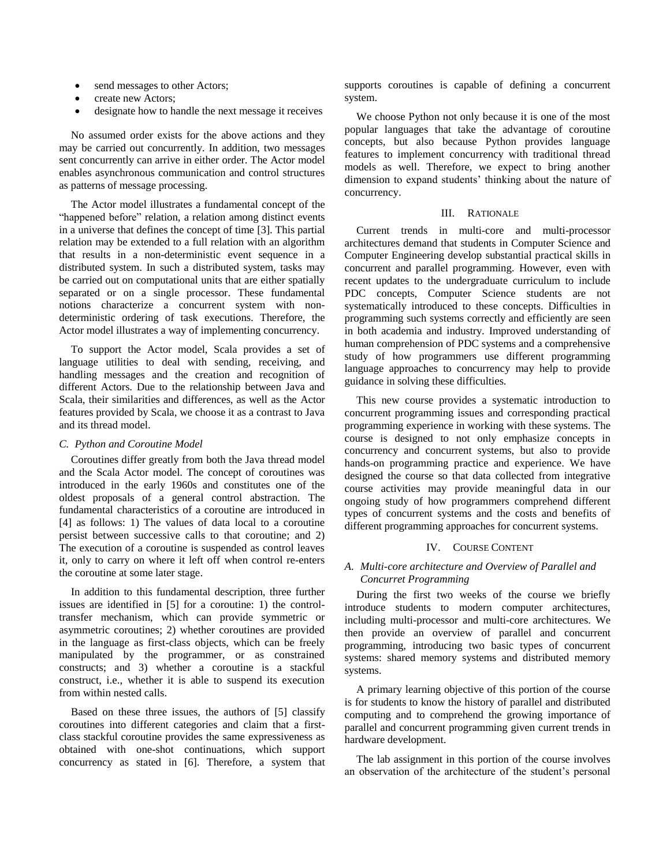- send messages to other Actors;
- create new Actors;
- designate how to handle the next message it receives

No assumed order exists for the above actions and they may be carried out concurrently. In addition, two messages sent concurrently can arrive in either order. The Actor model enables asynchronous communication and control structures as patterns of message processing.

The Actor model illustrates a fundamental concept of the "happened before" relation, a relation among distinct events in a universe that defines the concept of time [3]. This partial relation may be extended to a full relation with an algorithm that results in a non-deterministic event sequence in a distributed system. In such a distributed system, tasks may be carried out on computational units that are either spatially separated or on a single processor. These fundamental notions characterize a concurrent system with nondeterministic ordering of task executions. Therefore, the Actor model illustrates a way of implementing concurrency.

To support the Actor model, Scala provides a set of language utilities to deal with sending, receiving, and handling messages and the creation and recognition of different Actors. Due to the relationship between Java and Scala, their similarities and differences, as well as the Actor features provided by Scala, we choose it as a contrast to Java and its thread model.

### *C. Python and Coroutine Model*

Coroutines differ greatly from both the Java thread model and the Scala Actor model. The concept of coroutines was introduced in the early 1960s and constitutes one of the oldest proposals of a general control abstraction. The fundamental characteristics of a coroutine are introduced in [4] as follows: 1) The values of data local to a coroutine persist between successive calls to that coroutine; and 2) The execution of a coroutine is suspended as control leaves it, only to carry on where it left off when control re-enters the coroutine at some later stage.

In addition to this fundamental description, three further issues are identified in [5] for a coroutine: 1) the controltransfer mechanism, which can provide symmetric or asymmetric coroutines; 2) whether coroutines are provided in the language as first-class objects, which can be freely manipulated by the programmer, or as constrained constructs; and 3) whether a coroutine is a stackful construct, i.e., whether it is able to suspend its execution from within nested calls.

Based on these three issues, the authors of [5] classify coroutines into different categories and claim that a firstclass stackful coroutine provides the same expressiveness as obtained with one-shot continuations, which support concurrency as stated in [6]. Therefore, a system that

supports coroutines is capable of defining a concurrent system.

We choose Python not only because it is one of the most popular languages that take the advantage of coroutine concepts, but also because Python provides language features to implement concurrency with traditional thread models as well. Therefore, we expect to bring another dimension to expand students' thinking about the nature of concurrency.

### III. RATIONALE

Current trends in multi-core and multi-processor architectures demand that students in Computer Science and Computer Engineering develop substantial practical skills in concurrent and parallel programming. However, even with recent updates to the undergraduate curriculum to include PDC concepts, Computer Science students are not systematically introduced to these concepts. Difficulties in programming such systems correctly and efficiently are seen in both academia and industry. Improved understanding of human comprehension of PDC systems and a comprehensive study of how programmers use different programming language approaches to concurrency may help to provide guidance in solving these difficulties.

This new course provides a systematic introduction to concurrent programming issues and corresponding practical programming experience in working with these systems. The course is designed to not only emphasize concepts in concurrency and concurrent systems, but also to provide hands-on programming practice and experience. We have designed the course so that data collected from integrative course activities may provide meaningful data in our ongoing study of how programmers comprehend different types of concurrent systems and the costs and benefits of different programming approaches for concurrent systems.

## IV. COURSE CONTENT

# *A. Multi-core architecture and Overview of Parallel and Concurret Programming*

During the first two weeks of the course we briefly introduce students to modern computer architectures, including multi-processor and multi-core architectures. We then provide an overview of parallel and concurrent programming, introducing two basic types of concurrent systems: shared memory systems and distributed memory systems.

A primary learning objective of this portion of the course is for students to know the history of parallel and distributed computing and to comprehend the growing importance of parallel and concurrent programming given current trends in hardware development.

The lab assignment in this portion of the course involves an observation of the architecture of the student's personal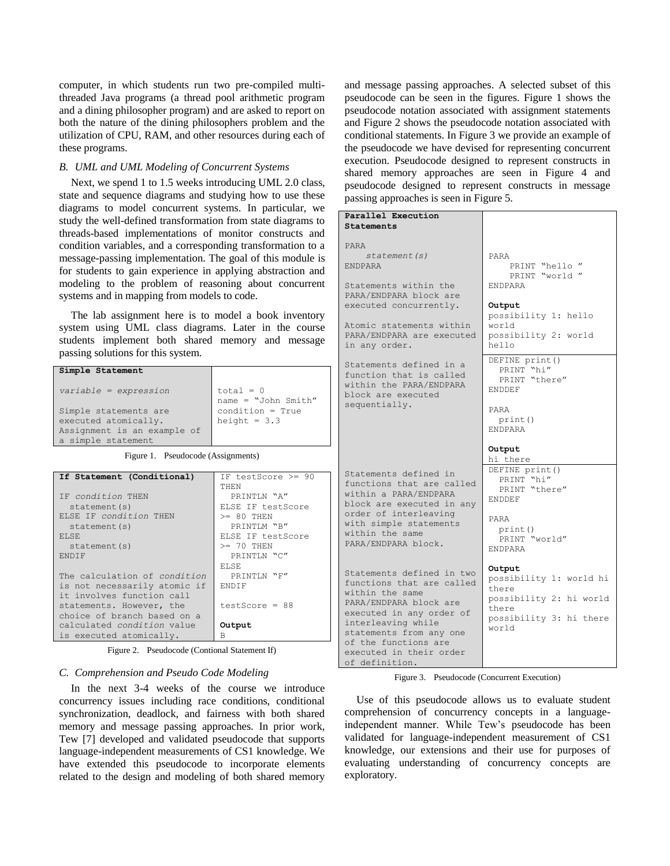computer, in which students run two pre-compiled multithreaded Java programs (a thread pool arithmetic program and a dining philosopher program) and are asked to report on both the nature of the dining philosophers problem and the utilization of CPU, RAM, and other resources during each of these programs.

# *B. UML and UML Modeling of Concurrent Systems*

Next, we spend 1 to 1.5 weeks introducing UML 2.0 class, state and sequence diagrams and studying how to use these diagrams to model concurrent systems. In particular, we study the well-defined transformation from state diagrams to threads-based implementations of monitor constructs and condition variables, and a corresponding transformation to a message-passing implementation. The goal of this module is for students to gain experience in applying abstraction and modeling to the problem of reasoning about concurrent systems and in mapping from models to code.

The lab assignment here is to model a book inventory system using UML class diagrams. Later in the course students implement both shared memory and message passing solutions for this system.

**Simple Statement** *variable = expression* Simple statements are executed atomically. Assignment is an example of a simple statement  $total = 0$ name = "John Smith" condition = True height =  $3.3$ Figure 1. Pseudocode (Assignments) **If Statement (Conditional)** IF *condition* THEN statement(s) ELSE IF *condition* THEN statement(s) ELSE statement(s) ENDIF The calculation of *condition* is not necessarily atomic if it involves function call statements. However, the IF testScore >= 90 THEN PRINTLN "A" ELSE IF testScore >= 80 THEN PRINTLM "B" ELSE IF testScore  $>= 70$  THEN PRINTLN "C" ELSE PRINTLN "F" ENDIF testScore = 88

Figure 2. Pseudocode (Contional Statement If)

**Output** B

### *C. Comprehension and Pseudo Code Modeling*

choice of branch based on a calculated *condition* value is executed atomically.

In the next 3-4 weeks of the course we introduce concurrency issues including race conditions, conditional synchronization, deadlock, and fairness with both shared memory and message passing approaches. In prior work, Tew [7] developed and validated pseudocode that supports language-independent measurements of CS1 knowledge. We have extended this pseudocode to incorporate elements related to the design and modeling of both shared memory and message passing approaches. A selected subset of this pseudocode can be seen in the figures. Figure 1 shows the pseudocode notation associated with assignment statements and Figure 2 shows the pseudocode notation associated with conditional statements. In Figure 3 we provide an example of the pseudocode we have devised for representing concurrent execution. Pseudocode designed to represent constructs in shared memory approaches are seen in Figure 4 and pseudocode designed to represent constructs in message passing approaches is seen in Figure 5.

| Parallel Execution                                                                                                                              |                                                                                                      |
|-------------------------------------------------------------------------------------------------------------------------------------------------|------------------------------------------------------------------------------------------------------|
| Statements                                                                                                                                      |                                                                                                      |
| PARA<br>statement(s)<br><b>ENDPARA</b><br>Statements within the<br>PARA/ENDPARA block are<br>executed concurrently.<br>Atomic statements within | PARA<br>PRINT "hello"<br>PRINT "world "<br><b>ENDPARA</b><br>Output<br>possibility 1: hello<br>world |
| PARA/ENDPARA are executed<br>in any order.                                                                                                      | possibility 2: world<br>hello                                                                        |
| Statements defined in a<br>function that is called<br>within the PARA/ENDPARA<br>block are executed<br>sequentially.                            | DEFINE print()<br>PRINT "hi"<br>PRINT "there"<br><b>ENDDEF</b><br>PARA<br>print()<br><b>ENDPARA</b>  |
|                                                                                                                                                 | Output<br>hi there                                                                                   |
| Statements defined in<br>functions that are called<br>within a PARA/ENDPARA<br>block are executed in any                                        | DEFINE print()<br>PRINT "hi"<br>PRINT "there"                                                        |
|                                                                                                                                                 | <b>ENDDEF</b>                                                                                        |
| order of interleaving<br>with simple statements<br>within the same<br>PARA/ENDPARA block.                                                       | PARA<br>print()<br>PRINT "world"<br>ENDPARA                                                          |
| Statements defined in two<br>functions that are called<br>within the same<br>PARA/ENDPARA block are                                             | Output<br>possibility 1: world hi<br>there<br>possibility 2: hi world                                |

Figure 3. Pseudocode (Concurrent Execution)

Use of this pseudocode allows us to evaluate student comprehension of concurrency concepts in a languageindependent manner. While Tew's pseudocode has been validated for language-independent measurement of CS1 knowledge, our extensions and their use for purposes of evaluating understanding of concurrency concepts are exploratory.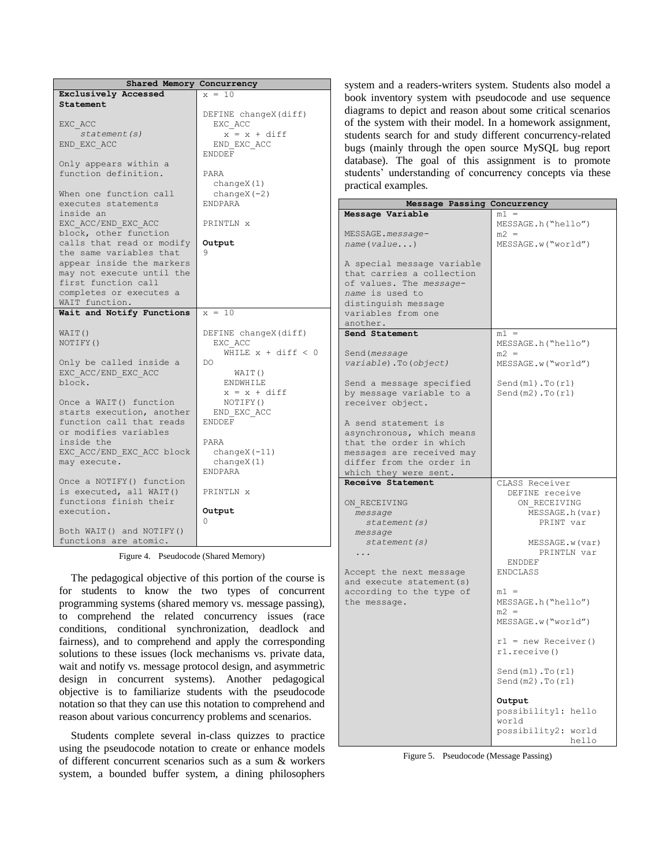| Shared Memory Concurrency |                      |
|---------------------------|----------------------|
| Exclusively Accessed      | $x = 10$             |
| Statement                 |                      |
|                           | DEFINE changeX(diff) |
| EXC ACC                   | EXC ACC              |
| statement (s)             | $x = x + diff$       |
| END EXC ACC               | END EXC ACC          |
|                           | <b>ENDDEF</b>        |
| Only appears within a     |                      |
| function definition.      | PARA                 |
|                           | changeX(1)           |
| When one function call    | change $X(-2)$       |
| executes statements       | <b>ENDPARA</b>       |
| inside an                 |                      |
| EXC ACC/END EXC ACC       | PRINTLN X            |
| block, other function     |                      |
| calls that read or modify | Output               |
| the same variables that   | 9                    |
| appear inside the markers |                      |
| may not execute until the |                      |
| first function call       |                      |
| completes or executes a   |                      |
| WAIT function.            |                      |
| Wait and Notify Functions | $x = 10$             |
|                           |                      |
| WAIT()                    | DEFINE changeX(diff) |
| NOTIFY()                  | EXC ACC              |
|                           | WHILE $x + diff < 0$ |
| Only be called inside a   | DO                   |
| EXC ACC/END EXC ACC       | WAIT()               |
| block.                    | ENDWHILE             |
|                           | $x = x + diff$       |
| Once a WAIT() function    | NOTIFY()             |
| starts execution, another | END EXC ACC          |
| function call that reads  | <b>ENDDEF</b>        |
| or modifies variables     |                      |
| inside the                | PARA                 |
| EXC ACC/END EXC ACC block | change $X(-11)$      |
| may execute.              | changeX(1)           |
|                           | ENDPARA              |
| Once a NOTIFY () function |                      |
| is executed, all WAIT()   | PRINTLN X            |
| functions finish their    |                      |
| execution.                | Output               |
|                           | 0                    |
| Both WAIT() and NOTIFY()  |                      |
| functions are atomic.     |                      |
|                           |                      |

Figure 4. Pseudocode (Shared Memory)

The pedagogical objective of this portion of the course is for students to know the two types of concurrent programming systems (shared memory vs. message passing), to comprehend the related concurrency issues (race conditions, conditional synchronization, deadlock and fairness), and to comprehend and apply the corresponding solutions to these issues (lock mechanisms vs. private data, wait and notify vs. message protocol design, and asymmetric design in concurrent systems). Another pedagogical objective is to familiarize students with the pseudocode notation so that they can use this notation to comprehend and reason about various concurrency problems and scenarios.

Students complete several in-class quizzes to practice using the pseudocode notation to create or enhance models of different concurrent scenarios such as a sum & workers system, a bounded buffer system, a dining philosophers

system and a readers-writers system. Students also model a book inventory system with pseudocode and use sequence diagrams to depict and reason about some critical scenarios of the system with their model. In a homework assignment, students search for and study different concurrency-related bugs (mainly through the open source MySQL bug report database). The goal of this assignment is to promote students' understanding of concurrency concepts via these practical examples.

| Message Passing Concurrency                           |                              |
|-------------------------------------------------------|------------------------------|
| Message Variable                                      | $m1 =$                       |
|                                                       | MESSAGE.h("hello")           |
| MESSAGE.message-                                      | $m2 =$                       |
| name(value)                                           | MESSAGE.w("world")           |
|                                                       |                              |
| A special message variable                            |                              |
| that carries a collection<br>of values. The message-  |                              |
| name is used to                                       |                              |
| distinguish message                                   |                              |
| variables from one                                    |                              |
| another.                                              |                              |
| Send Statement                                        | $m1 =$                       |
|                                                       | MESSAGE.h("hello")           |
| Send (message                                         | $m2 =$                       |
| variable).To(object)                                  | MESSAGE.w("world")           |
|                                                       |                              |
| Send a message specified                              | Send(m1) . To(r1)            |
| by message variable to a                              | Send $(m2)$ . To $(r1)$      |
| receiver object.                                      |                              |
|                                                       |                              |
| A send statement is                                   |                              |
| asynchronous, which means                             |                              |
| that the order in which                               |                              |
| messages are received may<br>differ from the order in |                              |
| which they were sent.                                 |                              |
| Receive Statement                                     | CLASS Receiver               |
|                                                       | DEFINE receive               |
| ON RECEIVING                                          | ON RECEIVING                 |
| message                                               | MESSAGE.h(var)               |
| statement(s)                                          | PRINT var                    |
| message                                               |                              |
| statement(s)                                          | MESSAGE.w(var)               |
| .                                                     | PRINTLN var                  |
|                                                       | <b>ENDDEF</b>                |
| Accept the next message<br>and execute statement (s)  | <b>ENDCLASS</b>              |
| according to the type of                              | $m1 =$                       |
| the message.                                          | MESSAGE.h("hello")           |
|                                                       | $m2 =$                       |
|                                                       | MESSAGE.w("world")           |
|                                                       |                              |
|                                                       | $r1$ = new Receiver()        |
|                                                       | r1.receive()                 |
|                                                       |                              |
|                                                       | Send $(m1)$ . To $(r1)$      |
|                                                       | Send $(m2)$ . To $(r1)$      |
|                                                       |                              |
|                                                       | Output                       |
|                                                       | possibility1: hello<br>world |
|                                                       | possibility2: world          |
|                                                       | hello                        |
|                                                       |                              |

Figure 5. Pseudocode (Message Passing)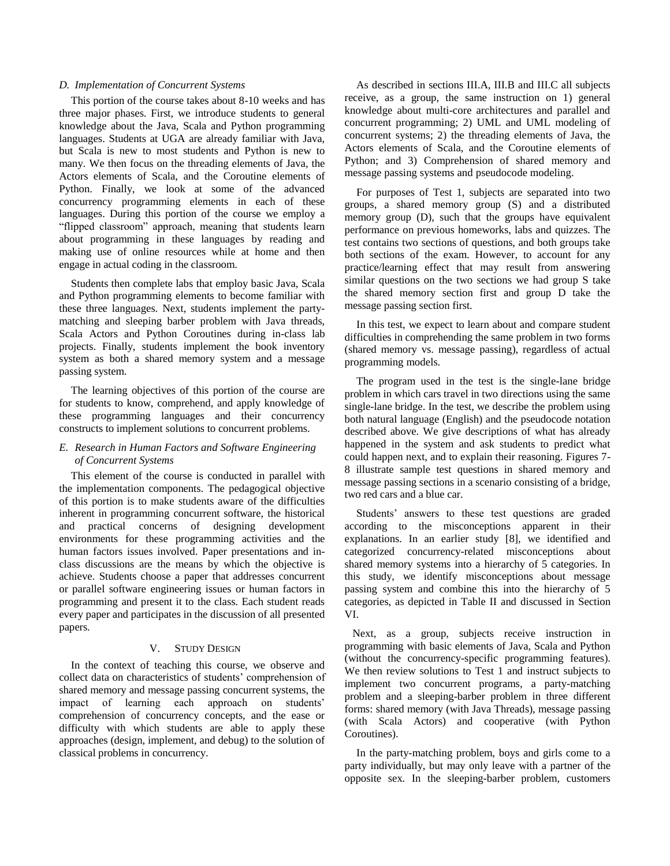# *D. Implementation of Concurrent Systems*

This portion of the course takes about 8-10 weeks and has three major phases. First, we introduce students to general knowledge about the Java, Scala and Python programming languages. Students at UGA are already familiar with Java, but Scala is new to most students and Python is new to many. We then focus on the threading elements of Java, the Actors elements of Scala, and the Coroutine elements of Python. Finally, we look at some of the advanced concurrency programming elements in each of these languages. During this portion of the course we employ a "flipped classroom" approach, meaning that students learn about programming in these languages by reading and making use of online resources while at home and then engage in actual coding in the classroom.

Students then complete labs that employ basic Java, Scala and Python programming elements to become familiar with these three languages. Next, students implement the partymatching and sleeping barber problem with Java threads, Scala Actors and Python Coroutines during in-class lab projects. Finally, students implement the book inventory system as both a shared memory system and a message passing system.

The learning objectives of this portion of the course are for students to know, comprehend, and apply knowledge of these programming languages and their concurrency constructs to implement solutions to concurrent problems.

# *E. Research in Human Factors and Software Engineering of Concurrent Systems*

This element of the course is conducted in parallel with the implementation components. The pedagogical objective of this portion is to make students aware of the difficulties inherent in programming concurrent software, the historical and practical concerns of designing development environments for these programming activities and the human factors issues involved. Paper presentations and inclass discussions are the means by which the objective is achieve. Students choose a paper that addresses concurrent or parallel software engineering issues or human factors in programming and present it to the class. Each student reads every paper and participates in the discussion of all presented papers.

# V. STUDY DESIGN

In the context of teaching this course, we observe and collect data on characteristics of students' comprehension of shared memory and message passing concurrent systems, the impact of learning each approach on students' comprehension of concurrency concepts, and the ease or difficulty with which students are able to apply these approaches (design, implement, and debug) to the solution of classical problems in concurrency.

As described in sections III.A, III.B and III.C all subjects receive, as a group, the same instruction on 1) general knowledge about multi-core architectures and parallel and concurrent programming; 2) UML and UML modeling of concurrent systems; 2) the threading elements of Java, the Actors elements of Scala, and the Coroutine elements of Python; and 3) Comprehension of shared memory and message passing systems and pseudocode modeling.

For purposes of Test 1, subjects are separated into two groups, a shared memory group (S) and a distributed memory group (D), such that the groups have equivalent performance on previous homeworks, labs and quizzes. The test contains two sections of questions, and both groups take both sections of the exam. However, to account for any practice/learning effect that may result from answering similar questions on the two sections we had group S take the shared memory section first and group D take the message passing section first.

In this test, we expect to learn about and compare student difficulties in comprehending the same problem in two forms (shared memory vs. message passing), regardless of actual programming models.

The program used in the test is the single-lane bridge problem in which cars travel in two directions using the same single-lane bridge. In the test, we describe the problem using both natural language (English) and the pseudocode notation described above. We give descriptions of what has already happened in the system and ask students to predict what could happen next, and to explain their reasoning. Figures 7- 8 illustrate sample test questions in shared memory and message passing sections in a scenario consisting of a bridge, two red cars and a blue car.

Students' answers to these test questions are graded according to the misconceptions apparent in their explanations. In an earlier study [8], we identified and categorized concurrency-related misconceptions about shared memory systems into a hierarchy of 5 categories. In this study, we identify misconceptions about message passing system and combine this into the hierarchy of 5 categories, as depicted in Table II and discussed in Section VI.

Next, as a group, subjects receive instruction in programming with basic elements of Java, Scala and Python (without the concurrency-specific programming features). We then review solutions to Test 1 and instruct subjects to implement two concurrent programs, a party-matching problem and a sleeping-barber problem in three different forms: shared memory (with Java Threads), message passing (with Scala Actors) and cooperative (with Python Coroutines).

In the party-matching problem, boys and girls come to a party individually, but may only leave with a partner of the opposite sex. In the sleeping-barber problem, customers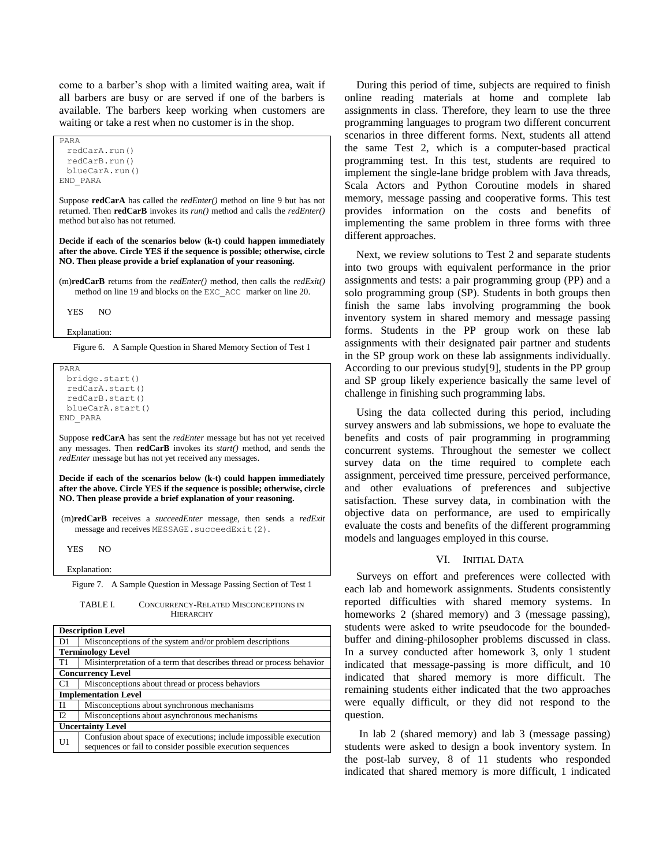come to a barber's shop with a limited waiting area, wait if all barbers are busy or are served if one of the barbers is available. The barbers keep working when customers are waiting or take a rest when no customer is in the shop.

PARA redCarA.run() redCarB.run() blueCarA.run() END\_PARA

Suppose **redCarA** has called the *redEnter()* method on line 9 but has not returned. Then **redCarB** invokes its *run()* method and calls the *redEnter()* method but also has not returned.

**Decide if each of the scenarios below (k-t) could happen immediately after the above. Circle YES if the sequence is possible; otherwise, circle NO. Then please provide a brief explanation of your reasoning.**

(m)**redCarB** returns from the *redEnter()* method, then calls the *redExit()* method on line 19 and blocks on the EXC\_ACC marker on line 20.

YES NO

Explanation:

Figure 6. A Sample Question in Shared Memory Section of Test 1

PARA bridge.start() redCarA.start() redCarB.start() blueCarA.start() END\_PARA

Suppose **redCarA** has sent the *redEnter* message but has not yet received any messages. Then **redCarB** invokes its *start()* method, and sends the *redEnter* message but has not yet received any messages.

**Decide if each of the scenarios below (k-t) could happen immediately after the above. Circle YES if the sequence is possible; otherwise, circle NO. Then please provide a brief explanation of your reasoning.**

(m)**redCarB** receives a *succeedEnter* message, then sends a *redExit* message and receives MESSAGE.succeedExit(2).

YES NO

Explanation:

Figure 7. A Sample Question in Message Passing Section of Test 1

TABLE I. CONCURRENCY-RELATED MISCONCEPTIONS IN **HIERARCHY** 

|      | <b>Description Level</b>                                                                                                        |
|------|---------------------------------------------------------------------------------------------------------------------------------|
| D1   | Misconceptions of the system and/or problem descriptions                                                                        |
|      | <b>Terminology Level</b>                                                                                                        |
| T1   | Misinterpretation of a term that describes thread or process behavior                                                           |
|      | <b>Concurrency Level</b>                                                                                                        |
| .C1  | Misconceptions about thread or process behaviors                                                                                |
|      | <b>Implementation Level</b>                                                                                                     |
| - T1 | Misconceptions about synchronous mechanisms                                                                                     |
| 12   | Misconceptions about asynchronous mechanisms                                                                                    |
|      | <b>Uncertainty Level</b>                                                                                                        |
| U1   | Confusion about space of executions; include impossible execution<br>sequences or fail to consider possible execution sequences |

During this period of time, subjects are required to finish online reading materials at home and complete lab assignments in class. Therefore, they learn to use the three programming languages to program two different concurrent scenarios in three different forms. Next, students all attend the same Test 2, which is a computer-based practical programming test. In this test, students are required to implement the single-lane bridge problem with Java threads, Scala Actors and Python Coroutine models in shared memory, message passing and cooperative forms. This test provides information on the costs and benefits of implementing the same problem in three forms with three different approaches.

Next, we review solutions to Test 2 and separate students into two groups with equivalent performance in the prior assignments and tests: a pair programming group (PP) and a solo programming group (SP). Students in both groups then finish the same labs involving programming the book inventory system in shared memory and message passing forms. Students in the PP group work on these lab assignments with their designated pair partner and students in the SP group work on these lab assignments individually. According to our previous study[9], students in the PP group and SP group likely experience basically the same level of challenge in finishing such programming labs.

Using the data collected during this period, including survey answers and lab submissions, we hope to evaluate the benefits and costs of pair programming in programming concurrent systems. Throughout the semester we collect survey data on the time required to complete each assignment, perceived time pressure, perceived performance, and other evaluations of preferences and subjective satisfaction. These survey data, in combination with the objective data on performance, are used to empirically evaluate the costs and benefits of the different programming models and languages employed in this course.

# VI. INITIAL DATA

Surveys on effort and preferences were collected with each lab and homework assignments. Students consistently reported difficulties with shared memory systems. In homeworks 2 (shared memory) and 3 (message passing), students were asked to write pseudocode for the boundedbuffer and dining-philosopher problems discussed in class. In a survey conducted after homework 3, only 1 student indicated that message-passing is more difficult, and 10 indicated that shared memory is more difficult. The remaining students either indicated that the two approaches were equally difficult, or they did not respond to the question.

In lab 2 (shared memory) and lab 3 (message passing) students were asked to design a book inventory system. In the post-lab survey, 8 of 11 students who responded indicated that shared memory is more difficult, 1 indicated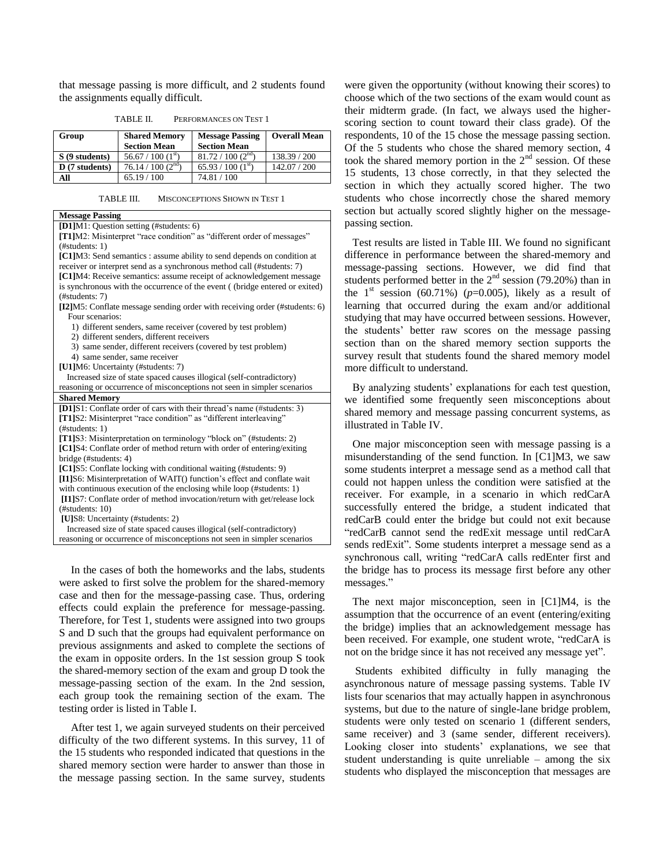that message passing is more difficult, and 2 students found the assignments equally difficult.

|  | TABLE II. | PERFORMANCES ON TEST 1 |  |
|--|-----------|------------------------|--|
|--|-----------|------------------------|--|

| Group          | <b>Shared Memory</b>           | <b>Message Passing</b>         | <b>Overall Mean</b> |
|----------------|--------------------------------|--------------------------------|---------------------|
|                | <b>Section Mean</b>            | <b>Section Mean</b>            |                     |
| S (9 students) | 56.67 / 100 (1 <sup>st</sup> ) | 81.72 / 100 (2 <sup>nd</sup> ) | 138.39 / 200        |
| D (7 students) | 76.14 / 100 (2 <sup>nd</sup> ) | 65.93 / 100 (1 <sup>st</sup> ) | 142.07 / 200        |
| All            | 65.19 / 100                    | 74.81 / 100                    |                     |

TABLE III. MISCONCEPTIONS SHOWN IN TEST 1

| <b>Message Passing</b>                                                      |  |
|-----------------------------------------------------------------------------|--|
| [D1]M1: Question setting (#students: 6)                                     |  |
| [T1]M2: Misinterpret "race condition" as "different order of messages"      |  |
| (Hstudents: 1)                                                              |  |
| [C1]M3: Send semantics : assume ability to send depends on condition at     |  |
| receiver or interpret send as a synchronous method call (#students: 7)      |  |
| [C1]M4: Receive semantics: assume receipt of acknowledgement message        |  |
| is synchronous with the occurrence of the event ((bridge entered or exited) |  |
| (#students: 7)                                                              |  |
| [I2] M5: Conflate message sending order with receiving order (#students: 6) |  |
| Four scenarios:                                                             |  |
| 1) different senders, same receiver (covered by test problem)               |  |
| 2) different senders, different receivers                                   |  |
| 3) same sender, different receivers (covered by test problem)               |  |
| 4) same sender, same receiver                                               |  |
| [U1]M6: Uncertainty (#students: 7)                                          |  |
| Increased size of state spaced causes illogical (self-contradictory)        |  |
| reasoning or occurrence of misconceptions not seen in simpler scenarios     |  |
| <b>Shared Memory</b>                                                        |  |
| [D1]S1: Conflate order of cars with their thread's name (#students: 3)      |  |
| [T1]S2: Misinterpret "race condition" as "different interleaving"           |  |
| (Hstudents: 1)                                                              |  |
| [T1]S3: Misinterpretation on terminology "block on" (#students: 2)          |  |
| [C1]S4: Conflate order of method return with order of entering/exiting      |  |
| bridge (#students: 4)                                                       |  |
| [C1] S5: Conflate locking with conditional waiting (#students: 9)           |  |
| [I1]S6: Misinterpretation of WAIT() function's effect and conflate wait     |  |
| with continuous execution of the enclosing while loop (#students: 1)        |  |
| [I1] S7: Conflate order of method invocation/return with get/release lock   |  |
| (Hstudents: 10)                                                             |  |
| [U]S8: Uncertainty (#students: 2)                                           |  |
| Increased size of state spaced causes illogical (self-contradictory)        |  |
| reasoning or occurrence of misconceptions not seen in simpler scenarios     |  |

In the cases of both the homeworks and the labs, students were asked to first solve the problem for the shared-memory case and then for the message-passing case. Thus, ordering effects could explain the preference for message-passing. Therefore, for Test 1, students were assigned into two groups S and D such that the groups had equivalent performance on previous assignments and asked to complete the sections of the exam in opposite orders. In the 1st session group S took the shared-memory section of the exam and group D took the message-passing section of the exam. In the 2nd session, each group took the remaining section of the exam. The testing order is listed in Table I.

After test 1, we again surveyed students on their perceived difficulty of the two different systems. In this survey, 11 of the 15 students who responded indicated that questions in the shared memory section were harder to answer than those in the message passing section. In the same survey, students were given the opportunity (without knowing their scores) to choose which of the two sections of the exam would count as their midterm grade. (In fact, we always used the higherscoring section to count toward their class grade). Of the respondents, 10 of the 15 chose the message passing section. Of the 5 students who chose the shared memory section, 4 took the shared memory portion in the  $2<sup>nd</sup>$  session. Of these 15 students, 13 chose correctly, in that they selected the section in which they actually scored higher. The two students who chose incorrectly chose the shared memory tion but actually scored slightly higher on the messagesing section.

est results are listed in Table III. We found no significant ference in performance between the shared-memory and ssage-passing sections. However, we did find that dents performed better in the  $2<sup>nd</sup>$  session (79.20%) than in  $1<sup>st</sup>$  session (60.71%) ( $p=0.005$ ), likely as a result of rning that occurred during the exam and/or additional dying that may have occurred between sessions. However, students' better raw scores on the message passing tion than on the shared memory section supports the vey result that students found the shared memory model re difficult to understand.

By analyzing students' explanations for each test question, identified some frequently seen misconceptions about red memory and message passing concurrent systems, as strated in Table IV.

One major misconception seen with message passing is a sunderstanding of the send function. In  $[C1]M3$ , we saw ne students interpret a message send as a method call that ld not happen unless the condition were satisfied at the eiver. For example, in a scenario in which redCarA cessfully entered the bridge, a student indicated that CarB could enter the bridge but could not exit because dCarB cannot send the redExit message until redCarA ds redExit". Some students interpret a message send as a synchronous call, writing "redCarA calls redEnter first and the bridge has to process its message first before any other messages."

The next major misconception, seen in [C1]M4, is the assumption that the occurrence of an event (entering/exiting the bridge) implies that an acknowledgement message has been received. For example, one student wrote, "redCarA is not on the bridge since it has not received any message yet".

Students exhibited difficulty in fully managing the asynchronous nature of message passing systems. Table IV lists four scenarios that may actually happen in asynchronous systems, but due to the nature of single-lane bridge problem, students were only tested on scenario 1 (different senders, same receiver) and 3 (same sender, different receivers). Looking closer into students' explanations, we see that student understanding is quite unreliable – among the six students who displayed the misconception that messages are